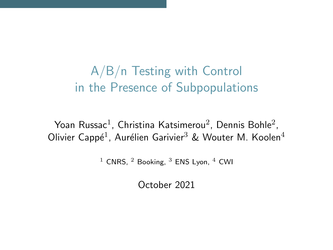# A/B/n Testing with Control in the Presence of Subpopulations

Yoan Russac $^1$ , Christina Katsimerou $^2$ , Dennis Bohle $^2$ , Olivier Cappé<sup>1</sup>, Aurélien Garivier<sup>3</sup> & Wouter M. Koolen<sup>4</sup>

 $1$  CNRS,  $2$  Booking,  $3$  ENS Lyon,  $4$  CWI

October 2021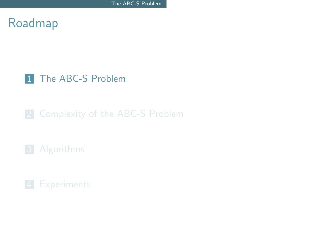## <span id="page-1-0"></span>Roadmap

### 1 [The ABC-S Problem](#page-1-0)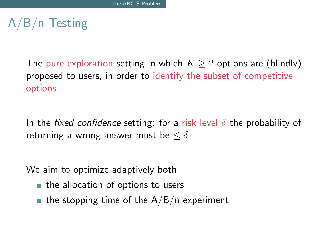# A/B/n Testing

The pure exploration setting in which  $K \geq 2$  options are (blindly) proposed to users, in order to identify the subset of competitive options

In the fixed confidence setting: for a risk level  $\delta$  the probability of returning a wrong answer must be  $\leq \delta$ 

We aim to optimize adaptively both

- $\blacksquare$  the allocation of options to users
- **the stopping time of the A/B/n experiment**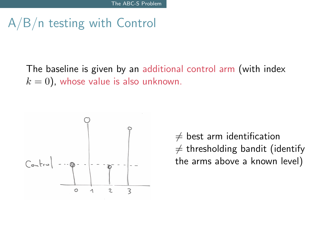# A/B/n testing with Control

The baseline is given by an additional control arm (with index  $k = 0$ ), whose value is also unknown.



 $\neq$  best arm identification  $\neq$  thresholding bandit (identify the arms above a known level)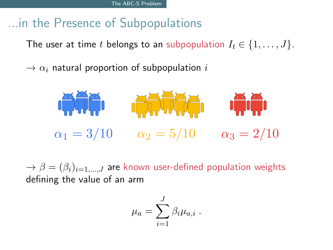# ...in the Presence of Subpopulations

The user at time t belongs to an subpopulation  $I_t \in \{1, \ldots, J\}$ .

 $\rightarrow \alpha_i$  natural proportion of subpopulation i



 $\rightarrow \beta = (\beta_i)_{i=1,...,J}$  are known user-defined population weights defining the value of an arm

$$
\mu_a = \sum_{i=1}^J \beta_i \mu_{a,i} .
$$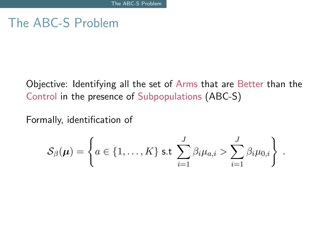## The ABC-S Problem

Objective: Identifying all the set of Arms that are Better than the Control in the presence of Subpopulations (ABC-S)

Formally, identification of

$$
\mathcal{S}_{\beta}(\boldsymbol{\mu}) = \left\{ a \in \{1,\ldots,K\} \text{ s.t } \sum_{i=1}^J \beta_i \mu_{a,i} > \sum_{i=1}^J \beta_i \mu_{0,i} \right\} .
$$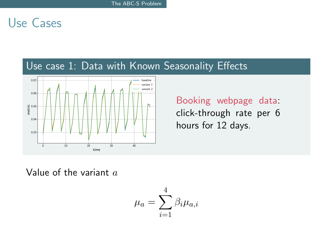## Use Cases

### Use case 1: Data with Known Seasonality Effects



Booking webpage data: click-through rate per 6 hours for 12 days.

Value of the variant  $a$ 

$$
\mu_a = \sum_{i=1}^4 \beta_i \mu_{a,i}
$$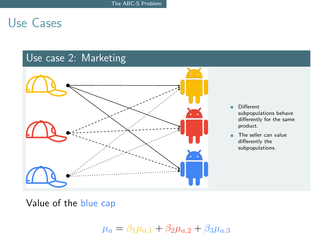## Use Cases

## Use case 2: Marketing



- Different subpopulations behave differently for the same product.
- The seller can value differently the subpopulations.

Value of the blue cap

 $\mu_a = \beta_1 \mu_{a,1} + \beta_2 \mu_{a,2} + \beta_3 \mu_{a,3}$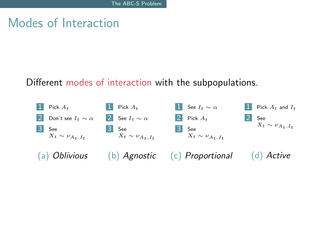## Modes of Interaction

#### Different modes of interaction with the subpopulations.

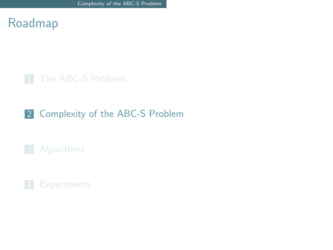<span id="page-9-0"></span>

### 2 [Complexity of the ABC-S Problem](#page-9-0)

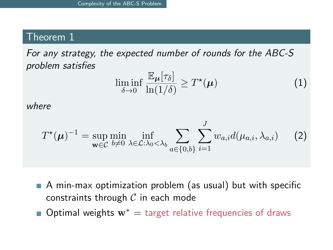### Theorem 1

For any strategy, the expected number of rounds for the ABC-S problem satisfies

$$
\liminf_{\delta \to 0} \frac{\mathbb{E}_{\mu}[\tau_{\delta}]}{\ln(1/\delta)} \geq T^{\star}(\mu)
$$
 (1)

where

$$
T^{\star}(\boldsymbol{\mu})^{-1} = \sup_{\mathbf{w}\in\mathcal{C}} \min_{b\neq 0} \inf_{\lambda\in\mathcal{L}:\lambda_0<\lambda_b} \sum_{a\in\{0,b\}} \sum_{i=1}^J w_{a,i} d(\mu_{a,i},\lambda_{a,i}) \qquad (2)
$$

- A min-max optimization problem (as usual) but with specific constraints through  $C$  in each mode
- Optimal weights  $w^* =$  target relative frequencies of draws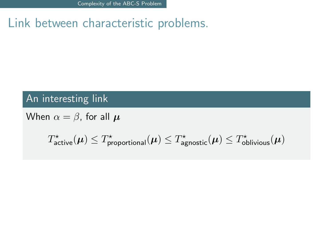[Complexity of the ABC-S Problem](#page-9-0)

## Link between characteristic problems.

### An interesting link

When  $\alpha = \beta$ , for all  $\mu$ 

$$
T^{\star}_{\rm active}({\pmb \mu}) \leq T^{\star}_{\rm proportional}({\pmb \mu}) \leq T^{\star}_{\rm agnostic}({\pmb \mu}) \leq T^{\star}_{\rm obvious}({\pmb \mu})
$$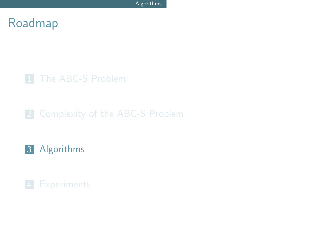## <span id="page-12-0"></span>Roadmap

### 1 [The ABC-S Problem](#page-1-0)

## 3 [Algorithms](#page-12-0)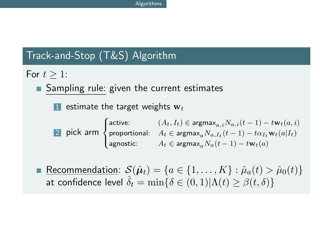## Track-and-Stop (T&S) Algorithm

For  $t > 1$ :

Sampling rule: given the current estimates

1 estimate the target weights  $w_t$ 

$$
\text{21 pick arm} \begin{cases} \text{active:} & (A_t, I_t) \in \text{argmax}_{a,i} N_{a,i}(t-1) - t \mathbf{w}_t(a, i) \\ \text{proportional:} & A_t \in \text{argmax}_a N_{a,I_t}(t-1) - t \alpha_{I_t} \mathbf{w}_t(a|I_t) \\ \text{agnostic:} & A_t \in \text{argmax}_a N_a(t-1) - t \mathbf{w}_t(a) \end{cases}
$$

Recommendation:  $\mathcal{S}(\hat{\boldsymbol{\mu}}_t) = \{a \in \{1, ..., K\} : \hat{\mu}_a(t) > \hat{\mu}_0(t)\}\$ at confidence level  $\hat{\delta}_t = \min\{\delta \in (0,1)|\Lambda(t) \geq \beta(t,\delta)\}\$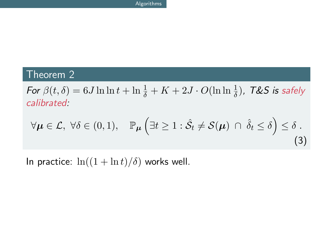#### Theorem 2

For  $\beta(t,\delta)=6J\ln\ln t+\ln\frac{1}{\delta}+K+2J\cdot O(\ln\ln\frac{1}{\delta})$ , T&S is safely calibrated:

$$
\forall \mu \in \mathcal{L}, \ \forall \delta \in (0,1), \quad \mathbb{P}_{\mu} \left( \exists t \geq 1 : \hat{\mathcal{S}}_t \neq \mathcal{S}(\mu) \ \cap \ \hat{\delta}_t \leq \delta \right) \leq \delta \ .
$$
\n(3)

In practice:  $\ln((1 + \ln t)/\delta)$  works well.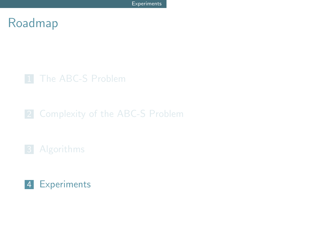## <span id="page-15-0"></span>Roadmap

### 1 [The ABC-S Problem](#page-1-0)

### 4 [Experiments](#page-15-0)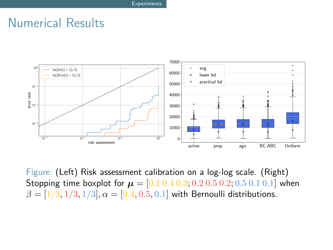## Numerical Results



Figure: (Left) Risk assessment calibration on a log-log scale. (Right) Stopping time boxplot for  $\mu = [0.1\,0.4\,0.3; 0.2\,0.5\,0.2; 0.5\,0.1\,0.1]$  when  $\beta = [1/3, 1/3, 1/3], \alpha = [0.4, 0.5, 0.1]$  with Bernoulli distributions.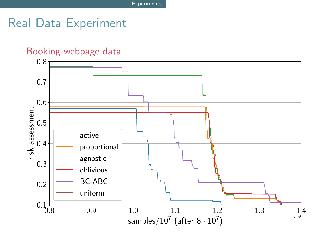## Real Data Experiment